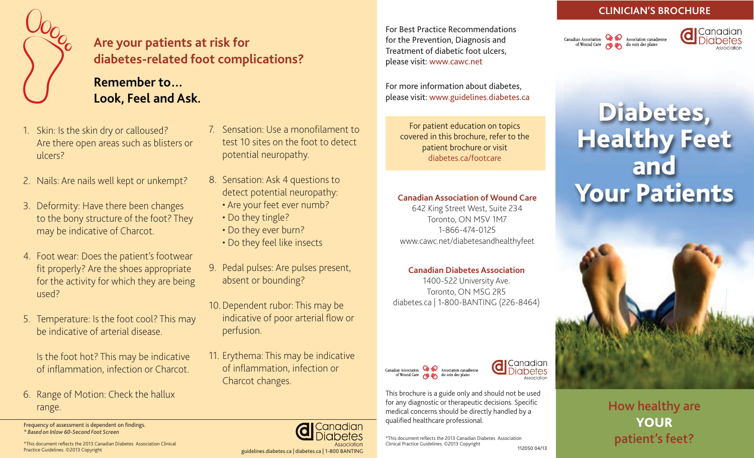

### **Are your patients at risk for diabetes-related foot complications?**

### **Remember to… Look, Feel and Ask.**

- 1. Skin: Is the skin dry or calloused? Are there open areas such as blisters or ulcers?
- 2. Nails: Are nails well kept or unkempt?
- 3. Deformity: Have there been changes to the bony structure of the foot? They may be indicative of Charcot.
- 4. Foot wear: Does the patient's footwear fit properly? Are the shoes appropriate for the activity for which they are being used?
- 5. Temperature: Is the foot cool? This may be indicative of arterial disease.

Is the foot hot? This may be indicative of inflammation, infection or Charcot.

6. Range of Motion: Check the hallux range.

Frequency of assessment is dependent on findings. *\* Based on Inlow 60-Second Foot Screen*

- 7. Sensation: Use a monofilament to test 10 sites on the foot to detect potential neuropathy.
- 8. Sensation: Ask 4 questions to detect potential neuropathy:
	- Are your feet ever numb?
	- Do they tingle?
	- Do they ever burn?
	- Do they feel like insects
- 9. Pedal pulses: Are pulses present, absent or bounding?
- 10.Dependent rubor: This may be indicative of poor arterial flow or perfusion.
- 11. Erythema: This may be indicative of inflammation, infection or Charcot changes.

Canadian netes

For Best Practice Recommendations for the Prevention, Diagnosis and Treatment of diabetic foot ulcers, please visit: www.cawc.net

For more information about diabetes, please visit: www.guidelines.diabetes.ca

For patient education on topics covered in this brochure, refer to the patient brochure or visit diabetes.ca/footcare

#### **Canadian Association of Wound Care**

642 King Street West, Suite 234 Toronto, ON M5V 1M7 1-866-474-0125 www.cawc.net/diabetesandhealthyfeet

#### **Canadian Diabetes Association**

1400-522 University Ave. Toronto, ON M5G 2R5 diabetes.ca | 1-800-BANTING (226-8464)





Canadian

iabetes

**d** 

\*This document reflects the 2013 Canadian Diabetes Association Clinical Practice Guidelines. ©2013 Copyright 112050 04/13

#### **CLINICIAN'S BROCHURE**

Canadian Association  $\bigotimes_{\text{d}} \bigotimes_{\text{d}}$  Association canadienne<br>of Wound Care  $\bigotimes_{\text{d}} \bigotimes_{\text{d}}$  and so in desplaies



# Diabetes, Healthy Feet and Your Patients



How healthy are YOUR patient's feet?

\*This document reflects the 2013 Canadian Diabetes Association Clinical Practice Guidelines. ©2013 Copyright

# guidelines.diabetes.ca | diabetes.ca | 1-800 BANTING